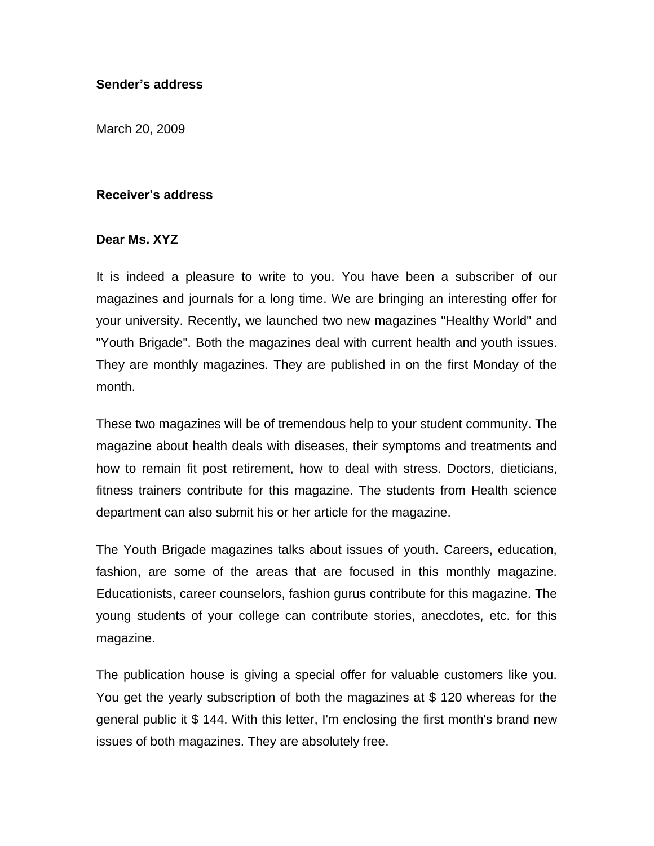## **Sender's address**

March 20, 2009

## **Receiver's address**

## **Dear Ms. XYZ**

It is indeed a pleasure to write to you. You have been a subscriber of our magazines and journals for a long time. We are bringing an interesting offer for your university. Recently, we launched two new magazines "Healthy World" and "Youth Brigade". Both the magazines deal with current health and youth issues. They are monthly magazines. They are published in on the first Monday of the month.

These two magazines will be of tremendous help to your student community. The magazine about health deals with diseases, their symptoms and treatments and how to remain fit post retirement, how to deal with stress. Doctors, dieticians, fitness trainers contribute for this magazine. The students from Health science department can also submit his or her article for the magazine.

The Youth Brigade magazines talks about issues of youth. Careers, education, fashion, are some of the areas that are focused in this monthly magazine. Educationists, career counselors, fashion gurus contribute for this magazine. The young students of your college can contribute stories, anecdotes, etc. for this magazine.

The publication house is giving a special offer for valuable customers like you. You get the yearly subscription of both the magazines at \$ 120 whereas for the general public it \$ 144. With this letter, I'm enclosing the first month's brand new issues of both magazines. They are absolutely free.